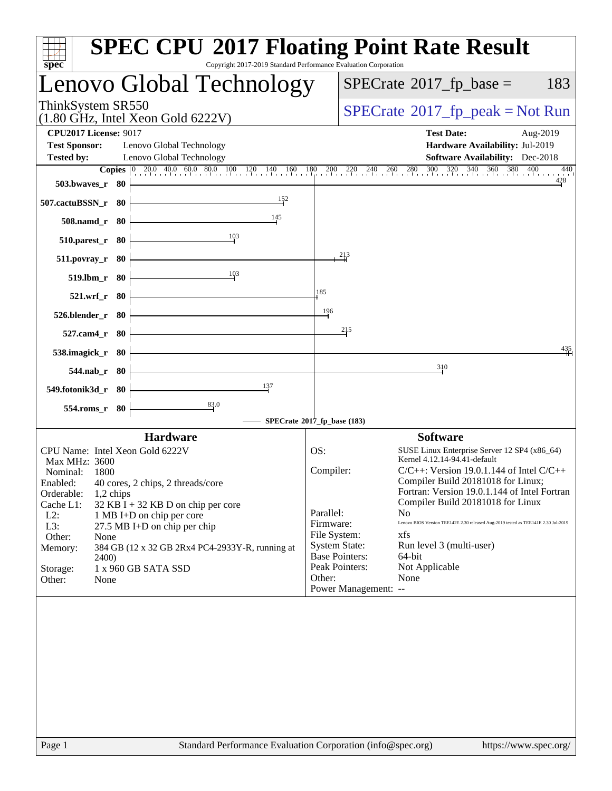| $spec^*$                                             |                    |                                                             | <b>SPEC CPU®2017 Floating Point Rate Result</b><br>Copyright 2017-2019 Standard Performance Evaluation Corporation |              |                       |                                          |                                                                                    |
|------------------------------------------------------|--------------------|-------------------------------------------------------------|--------------------------------------------------------------------------------------------------------------------|--------------|-----------------------|------------------------------------------|------------------------------------------------------------------------------------|
|                                                      |                    |                                                             | Lenovo Global Technology                                                                                           |              |                       | $SPECrate^{\circledast}2017$ _fp_base =  | 183                                                                                |
| ThinkSystem SR550                                    |                    | $(1.80 \text{ GHz}, \text{Intel Xeon Gold } 6222 \text{V})$ |                                                                                                                    |              |                       | $SPECrate^{\circ}2017$ [p_peak = Not Run |                                                                                    |
| <b>CPU2017 License: 9017</b><br><b>Test Sponsor:</b> |                    | Lenovo Global Technology                                    |                                                                                                                    |              |                       | <b>Test Date:</b>                        | Aug-2019<br>Hardware Availability: Jul-2019                                        |
| <b>Tested by:</b>                                    |                    | Lenovo Global Technology                                    | <b>Copies</b> 0 20.0 40.0 60.0 80.0 100 120 140 160 180 200 220 240 260 280 300 320 340 360 380 400                |              |                       |                                          | <b>Software Availability:</b> Dec-2018<br>440                                      |
|                                                      | 503.bwaves_r 80    |                                                             |                                                                                                                    |              |                       |                                          | 428                                                                                |
| 507.cactuBSSN_r 80                                   |                    |                                                             | 152                                                                                                                |              |                       |                                          |                                                                                    |
|                                                      | 508.namd_r 80      |                                                             | 145                                                                                                                |              |                       |                                          |                                                                                    |
|                                                      | 510.parest_r 80    |                                                             | 103                                                                                                                |              |                       |                                          |                                                                                    |
|                                                      | $511. povray_r$ 80 |                                                             |                                                                                                                    |              | 213                   |                                          |                                                                                    |
|                                                      | 519.lbm_r 80       |                                                             | 10 <sup>3</sup>                                                                                                    |              |                       |                                          |                                                                                    |
|                                                      | 521.wrf_r 80       |                                                             |                                                                                                                    | 185          |                       |                                          |                                                                                    |
|                                                      | 526.blender_r 80   |                                                             |                                                                                                                    | 196          |                       |                                          |                                                                                    |
|                                                      | 527.cam4_r 80      |                                                             |                                                                                                                    |              | 215                   |                                          |                                                                                    |
| 538.imagick_r 80                                     |                    |                                                             |                                                                                                                    |              |                       |                                          | $\frac{435}{11}$                                                                   |
|                                                      | 544.nab_r 80       |                                                             |                                                                                                                    |              |                       | 310                                      |                                                                                    |
| 549.fotonik3d_r 80                                   |                    |                                                             | 137                                                                                                                |              |                       |                                          |                                                                                    |
|                                                      | 554.roms_r 80      |                                                             | 83.0                                                                                                               |              |                       |                                          |                                                                                    |
|                                                      |                    |                                                             | SPECrate®2017_fp_base (183)                                                                                        |              |                       |                                          |                                                                                    |
|                                                      |                    | <b>Hardware</b>                                             |                                                                                                                    |              |                       | <b>Software</b>                          |                                                                                    |
| Max MHz: 3600                                        |                    | CPU Name: Intel Xeon Gold 6222V                             |                                                                                                                    | OS:          |                       | Kernel 4.12.14-94.41-default             | SUSE Linux Enterprise Server 12 SP4 (x86_64)                                       |
| Nominal:                                             | 1800               |                                                             |                                                                                                                    | Compiler:    |                       |                                          | $C/C++$ : Version 19.0.1.144 of Intel $C/C++$                                      |
|                                                      |                    | Enabled: 40 cores, 2 chips, 2 threads/core                  |                                                                                                                    |              |                       |                                          | Compiler Build 20181018 for Linux;                                                 |
| Orderable:                                           | 1,2 chips          |                                                             |                                                                                                                    |              |                       | Compiler Build 20181018 for Linux        | Fortran: Version 19.0.1.144 of Intel Fortran                                       |
| Cache L1:<br>$L2$ :                                  |                    | $32$ KB I + 32 KB D on chip per core                        |                                                                                                                    | Parallel:    |                       | N <sub>0</sub>                           |                                                                                    |
| L3:                                                  |                    | 1 MB I+D on chip per core<br>$27.5$ MB I+D on chip per chip |                                                                                                                    | Firmware:    |                       |                                          | Lenovo BIOS Version TEE142E 2.30 released Aug-2019 tested as TEE141E 2.30 Jul-2019 |
| Other:                                               | None               |                                                             |                                                                                                                    | File System: |                       | xfs                                      |                                                                                    |
| Memory:                                              |                    |                                                             | 384 GB (12 x 32 GB 2Rx4 PC4-2933Y-R, running at                                                                    |              | <b>System State:</b>  | Run level 3 (multi-user)                 |                                                                                    |
|                                                      | 2400)              |                                                             |                                                                                                                    |              | <b>Base Pointers:</b> | 64-bit                                   |                                                                                    |
| Storage:                                             |                    | 1 x 960 GB SATA SSD                                         |                                                                                                                    |              | Peak Pointers:        | Not Applicable                           |                                                                                    |
| Other:                                               | None               |                                                             |                                                                                                                    | Other:       | Power Management: --  | None                                     |                                                                                    |
|                                                      |                    |                                                             |                                                                                                                    |              |                       |                                          |                                                                                    |
| Page 1                                               |                    |                                                             | Standard Performance Evaluation Corporation (info@spec.org)                                                        |              |                       |                                          | https://www.spec.org/                                                              |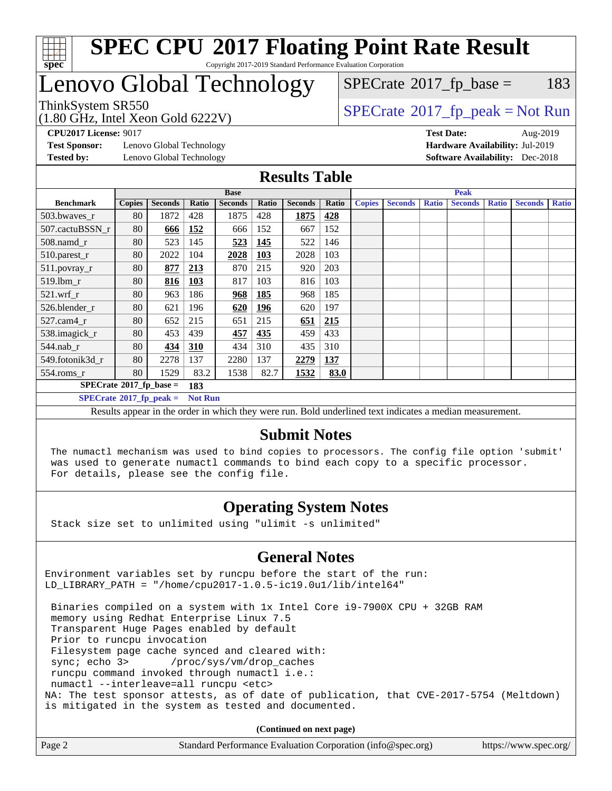

# Lenovo Global Technology

 $SPECTate@2017_fp\_base = 183$ 

(1.80 GHz, Intel Xeon Gold 6222V)

 $SPECTate@2017_fp_peak = Not Run$  $SPECTate@2017_fp_peak = Not Run$  $SPECTate@2017_fp_peak = Not Run$ 

**[Test Sponsor:](http://www.spec.org/auto/cpu2017/Docs/result-fields.html#TestSponsor)** Lenovo Global Technology **[Hardware Availability:](http://www.spec.org/auto/cpu2017/Docs/result-fields.html#HardwareAvailability)** Jul-2019 **[Tested by:](http://www.spec.org/auto/cpu2017/Docs/result-fields.html#Testedby)** Lenovo Global Technology **[Software Availability:](http://www.spec.org/auto/cpu2017/Docs/result-fields.html#SoftwareAvailability)** Dec-2018

**[CPU2017 License:](http://www.spec.org/auto/cpu2017/Docs/result-fields.html#CPU2017License)** 9017 **[Test Date:](http://www.spec.org/auto/cpu2017/Docs/result-fields.html#TestDate)** Aug-2019

#### **[Results Table](http://www.spec.org/auto/cpu2017/Docs/result-fields.html#ResultsTable)**

|                                        | <b>Base</b>   |                |            |                |            | <b>Peak</b>    |       |               |                |              |                |              |                |              |
|----------------------------------------|---------------|----------------|------------|----------------|------------|----------------|-------|---------------|----------------|--------------|----------------|--------------|----------------|--------------|
| <b>Benchmark</b>                       | <b>Copies</b> | <b>Seconds</b> | Ratio      | <b>Seconds</b> | Ratio      | <b>Seconds</b> | Ratio | <b>Copies</b> | <b>Seconds</b> | <b>Ratio</b> | <b>Seconds</b> | <b>Ratio</b> | <b>Seconds</b> | <b>Ratio</b> |
| 503.bwayes r                           | 80            | 1872           | 428        | 1875           | 428        | 1875           | 428   |               |                |              |                |              |                |              |
| 507.cactuBSSN r                        | 80            | 666            | 152        | 666            | 152        | 667            | 152   |               |                |              |                |              |                |              |
| 508.namd_r                             | 80            | 523            | 145        | 523            | 145        | 522            | 146   |               |                |              |                |              |                |              |
| 510.parest_r                           | 80            | 2022           | 104        | 2028           | <b>103</b> | 2028           | 103   |               |                |              |                |              |                |              |
| 511.povray_r                           | 80            | 877            | 213        | 870            | 215        | 920            | 203   |               |                |              |                |              |                |              |
| 519.lbm r                              | 80            | 816            | <b>103</b> | 817            | 103        | 816            | 103   |               |                |              |                |              |                |              |
| $521$ .wrf r                           | 80            | 963            | 186        | 968            | 185        | 968            | 185   |               |                |              |                |              |                |              |
| 526.blender r                          | 80            | 621            | 196        | 620            | <u>196</u> | 620            | 197   |               |                |              |                |              |                |              |
| $527$ .cam $4r$                        | 80            | 652            | 215        | 651            | 215        | 651            | 215   |               |                |              |                |              |                |              |
| 538.imagick_r                          | 80            | 453            | 439        | 457            | 435        | 459            | 433   |               |                |              |                |              |                |              |
| $544.nab$ _r                           | 80            | 434            | 310        | 434            | 310        | 435            | 310   |               |                |              |                |              |                |              |
| 549.fotonik3d r                        | 80            | 2278           | 137        | 2280           | 137        | 2279           | 137   |               |                |              |                |              |                |              |
| $554$ .roms_r                          | 80            | 1529           | 83.2       | 1538           | 82.7       | 1532           | 83.0  |               |                |              |                |              |                |              |
| $SPECrate$ <sup>®</sup> 2017_fp_base = |               |                | 183        |                |            |                |       |               |                |              |                |              |                |              |
| $SPECrate^{\circ}2017$ fp peak =       |               | <b>Not Run</b> |            |                |            |                |       |               |                |              |                |              |                |              |

Results appear in the [order in which they were run.](http://www.spec.org/auto/cpu2017/Docs/result-fields.html#RunOrder) Bold underlined text [indicates a median measurement.](http://www.spec.org/auto/cpu2017/Docs/result-fields.html#Median)

#### **[Submit Notes](http://www.spec.org/auto/cpu2017/Docs/result-fields.html#SubmitNotes)**

 The numactl mechanism was used to bind copies to processors. The config file option 'submit' was used to generate numactl commands to bind each copy to a specific processor. For details, please see the config file.

### **[Operating System Notes](http://www.spec.org/auto/cpu2017/Docs/result-fields.html#OperatingSystemNotes)**

Stack size set to unlimited using "ulimit -s unlimited"

### **[General Notes](http://www.spec.org/auto/cpu2017/Docs/result-fields.html#GeneralNotes)**

Environment variables set by runcpu before the start of the run: LD\_LIBRARY\_PATH = "/home/cpu2017-1.0.5-ic19.0u1/lib/intel64"

 Binaries compiled on a system with 1x Intel Core i9-7900X CPU + 32GB RAM memory using Redhat Enterprise Linux 7.5 Transparent Huge Pages enabled by default Prior to runcpu invocation Filesystem page cache synced and cleared with: sync; echo 3> /proc/sys/vm/drop\_caches runcpu command invoked through numactl i.e.: numactl --interleave=all runcpu <etc> NA: The test sponsor attests, as of date of publication, that CVE-2017-5754 (Meltdown) is mitigated in the system as tested and documented.

**(Continued on next page)**

| Page 2 | Standard Performance Evaluation Corporation (info@spec.org) | https://www.spec.org/ |
|--------|-------------------------------------------------------------|-----------------------|
|--------|-------------------------------------------------------------|-----------------------|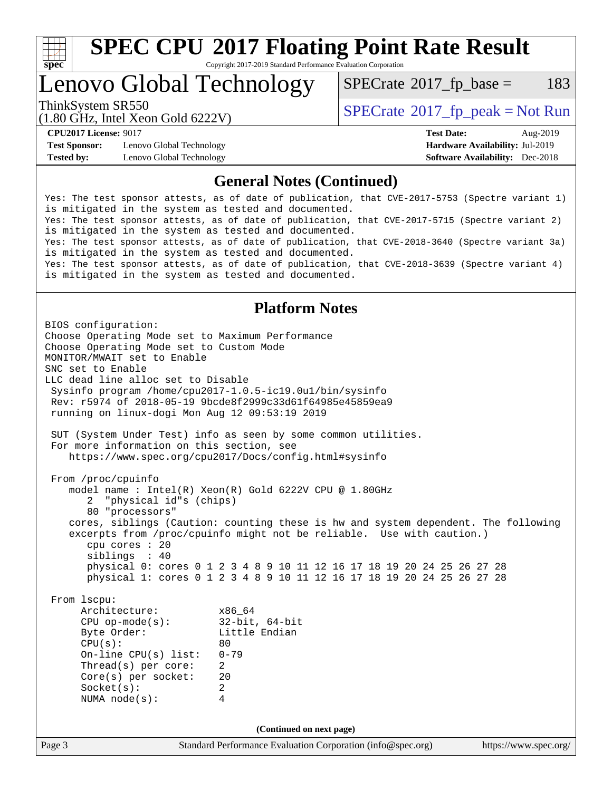

# **[SPEC CPU](http://www.spec.org/auto/cpu2017/Docs/result-fields.html#SPECCPU2017FloatingPointRateResult)[2017 Floating Point Rate Result](http://www.spec.org/auto/cpu2017/Docs/result-fields.html#SPECCPU2017FloatingPointRateResult)**

Copyright 2017-2019 Standard Performance Evaluation Corporation

### Lenovo Global Technology

 $SPECTate@2017_fp\_base = 183$ 

(1.80 GHz, Intel Xeon Gold 6222V)

ThinkSystem SR550<br>  $\begin{array}{c}\n\text{SPECrate} \textcirc 2017 \text{ fp } peak = Not Run\n\end{array}$  $\begin{array}{c}\n\text{SPECrate} \textcirc 2017 \text{ fp } peak = Not Run\n\end{array}$  $\begin{array}{c}\n\text{SPECrate} \textcirc 2017 \text{ fp } peak = Not Run\n\end{array}$ 

**[Test Sponsor:](http://www.spec.org/auto/cpu2017/Docs/result-fields.html#TestSponsor)** Lenovo Global Technology **[Hardware Availability:](http://www.spec.org/auto/cpu2017/Docs/result-fields.html#HardwareAvailability)** Jul-2019 **[Tested by:](http://www.spec.org/auto/cpu2017/Docs/result-fields.html#Testedby)** Lenovo Global Technology **[Software Availability:](http://www.spec.org/auto/cpu2017/Docs/result-fields.html#SoftwareAvailability)** Dec-2018

**[CPU2017 License:](http://www.spec.org/auto/cpu2017/Docs/result-fields.html#CPU2017License)** 9017 **[Test Date:](http://www.spec.org/auto/cpu2017/Docs/result-fields.html#TestDate)** Aug-2019

### **[General Notes \(Continued\)](http://www.spec.org/auto/cpu2017/Docs/result-fields.html#GeneralNotes)**

Yes: The test sponsor attests, as of date of publication, that CVE-2017-5753 (Spectre variant 1) is mitigated in the system as tested and documented. Yes: The test sponsor attests, as of date of publication, that CVE-2017-5715 (Spectre variant 2) is mitigated in the system as tested and documented. Yes: The test sponsor attests, as of date of publication, that CVE-2018-3640 (Spectre variant 3a) is mitigated in the system as tested and documented. Yes: The test sponsor attests, as of date of publication, that CVE-2018-3639 (Spectre variant 4) is mitigated in the system as tested and documented.

### **[Platform Notes](http://www.spec.org/auto/cpu2017/Docs/result-fields.html#PlatformNotes)**

Page 3 Standard Performance Evaluation Corporation [\(info@spec.org\)](mailto:info@spec.org) <https://www.spec.org/> BIOS configuration: Choose Operating Mode set to Maximum Performance Choose Operating Mode set to Custom Mode MONITOR/MWAIT set to Enable SNC set to Enable LLC dead line alloc set to Disable Sysinfo program /home/cpu2017-1.0.5-ic19.0u1/bin/sysinfo Rev: r5974 of 2018-05-19 9bcde8f2999c33d61f64985e45859ea9 running on linux-dogi Mon Aug 12 09:53:19 2019 SUT (System Under Test) info as seen by some common utilities. For more information on this section, see <https://www.spec.org/cpu2017/Docs/config.html#sysinfo> From /proc/cpuinfo model name : Intel(R) Xeon(R) Gold 6222V CPU @ 1.80GHz 2 "physical id"s (chips) 80 "processors" cores, siblings (Caution: counting these is hw and system dependent. The following excerpts from /proc/cpuinfo might not be reliable. Use with caution.) cpu cores : 20 siblings : 40 physical 0: cores 0 1 2 3 4 8 9 10 11 12 16 17 18 19 20 24 25 26 27 28 physical 1: cores 0 1 2 3 4 8 9 10 11 12 16 17 18 19 20 24 25 26 27 28 From lscpu: Architecture: x86\_64 CPU op-mode(s): 32-bit, 64-bit Little Endian  $CPU(s):$  80 On-line CPU(s) list: 0-79 Thread(s) per core: 2 Core(s) per socket: 20 Socket(s): 2 NUMA node(s): 4 **(Continued on next page)**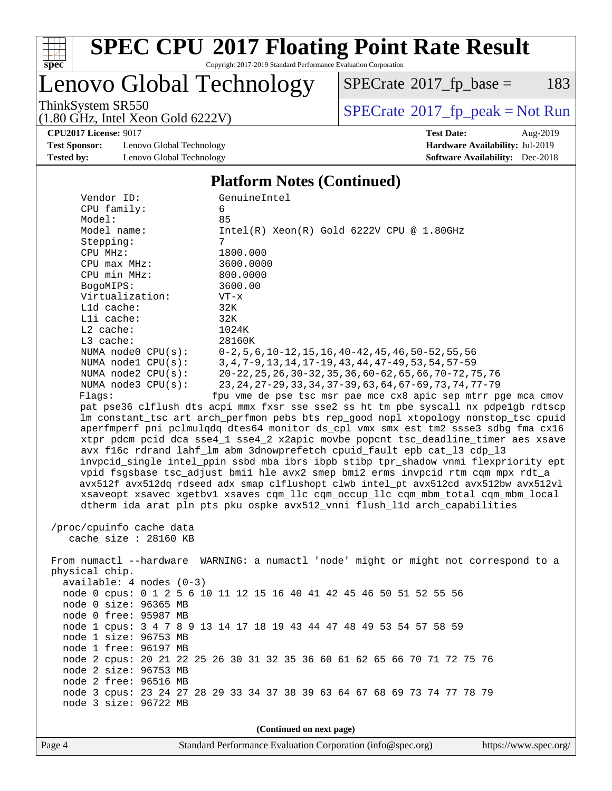

# **[SPEC CPU](http://www.spec.org/auto/cpu2017/Docs/result-fields.html#SPECCPU2017FloatingPointRateResult)[2017 Floating Point Rate Result](http://www.spec.org/auto/cpu2017/Docs/result-fields.html#SPECCPU2017FloatingPointRateResult)**

Copyright 2017-2019 Standard Performance Evaluation Corporation

Lenovo Global Technology

 $SPECTate@2017_fp\_base = 183$ 

(1.80 GHz, Intel Xeon Gold 6222V)

ThinkSystem SR550<br>(1.80 GHz, Intel Xeon Gold 6222V) [SPECrate](http://www.spec.org/auto/cpu2017/Docs/result-fields.html#SPECrate2017fppeak)®[2017\\_fp\\_peak = N](http://www.spec.org/auto/cpu2017/Docs/result-fields.html#SPECrate2017fppeak)ot Run

**[CPU2017 License:](http://www.spec.org/auto/cpu2017/Docs/result-fields.html#CPU2017License)** 9017 **[Test Date:](http://www.spec.org/auto/cpu2017/Docs/result-fields.html#TestDate)** Aug-2019

**[Test Sponsor:](http://www.spec.org/auto/cpu2017/Docs/result-fields.html#TestSponsor)** Lenovo Global Technology **[Hardware Availability:](http://www.spec.org/auto/cpu2017/Docs/result-fields.html#HardwareAvailability)** Jul-2019 **[Tested by:](http://www.spec.org/auto/cpu2017/Docs/result-fields.html#Testedby)** Lenovo Global Technology **[Software Availability:](http://www.spec.org/auto/cpu2017/Docs/result-fields.html#SoftwareAvailability)** Dec-2018

#### **[Platform Notes \(Continued\)](http://www.spec.org/auto/cpu2017/Docs/result-fields.html#PlatformNotes)**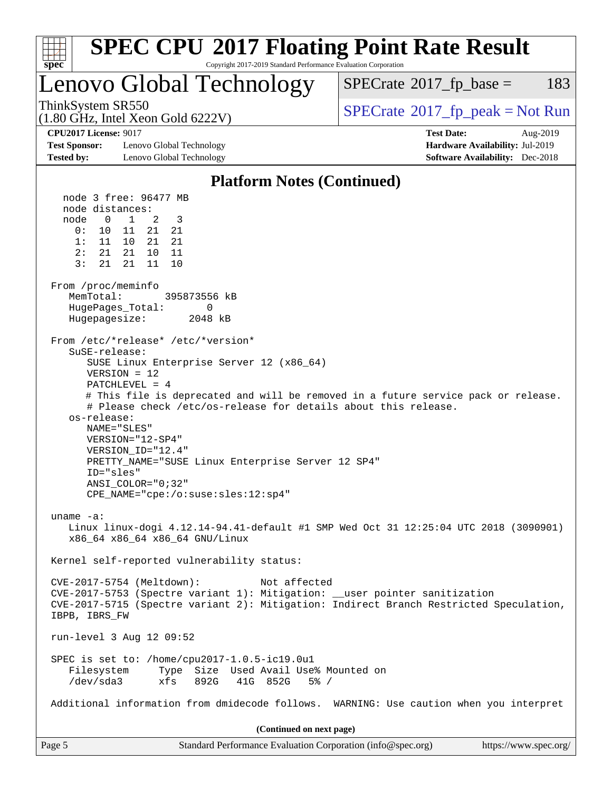| <b>SPEC CPU®2017 Floating Point Rate Result</b><br>Copyright 2017-2019 Standard Performance Evaluation Corporation<br>$spec^*$                                                                                                                                                                                                                                                                                                                                                                           |                                                                           |
|----------------------------------------------------------------------------------------------------------------------------------------------------------------------------------------------------------------------------------------------------------------------------------------------------------------------------------------------------------------------------------------------------------------------------------------------------------------------------------------------------------|---------------------------------------------------------------------------|
| Lenovo Global Technology                                                                                                                                                                                                                                                                                                                                                                                                                                                                                 | $SPECrate^{\circledast}2017$ _fp_base =<br>183                            |
| ThinkSystem SR550<br>$(1.80 \text{ GHz}, \text{Intel Xeon Gold } 6222 \text{V})$                                                                                                                                                                                                                                                                                                                                                                                                                         | $SPECrate^{\circ}2017rfp peak = Not Run$                                  |
| <b>CPU2017 License: 9017</b>                                                                                                                                                                                                                                                                                                                                                                                                                                                                             | <b>Test Date:</b><br>Aug-2019                                             |
| <b>Test Sponsor:</b><br>Lenovo Global Technology<br><b>Tested by:</b><br>Lenovo Global Technology                                                                                                                                                                                                                                                                                                                                                                                                        | Hardware Availability: Jul-2019<br><b>Software Availability:</b> Dec-2018 |
| <b>Platform Notes (Continued)</b>                                                                                                                                                                                                                                                                                                                                                                                                                                                                        |                                                                           |
| node 3 free: 96477 MB                                                                                                                                                                                                                                                                                                                                                                                                                                                                                    |                                                                           |
| node distances:<br>node<br>$\overline{0}$<br>$\frac{1}{2}$<br>3<br>2<br>21<br>0:<br>10 11<br>21<br>1:<br>11 10 21<br>21<br>2:<br>21  21<br>10<br>11<br>3:<br>21<br>11<br>21<br>10                                                                                                                                                                                                                                                                                                                        |                                                                           |
| From /proc/meminfo<br>MemTotal:<br>395873556 kB<br>HugePages_Total:<br>0<br>Hugepagesize:<br>2048 kB                                                                                                                                                                                                                                                                                                                                                                                                     |                                                                           |
| From /etc/*release* /etc/*version*<br>SuSE-release:<br>SUSE Linux Enterprise Server 12 (x86_64)<br>$VERSION = 12$<br>$PATCHLEVEL = 4$<br># This file is deprecated and will be removed in a future service pack or release.<br># Please check /etc/os-release for details about this release.<br>os-release:<br>NAME="SLES"<br>VERSION="12-SP4"<br>VERSION ID="12.4"<br>PRETTY_NAME="SUSE Linux Enterprise Server 12 SP4"<br>ID="sles"<br>ANSI_COLOR="0;32"<br>$CPE\_NAME = "cpe://o:suse: sles:12:sp4"$ |                                                                           |
| uname $-a$ :<br>Linux linux-dogi 4.12.14-94.41-default #1 SMP Wed Oct 31 12:25:04 UTC 2018 (3090901)<br>x86_64 x86_64 x86_64 GNU/Linux                                                                                                                                                                                                                                                                                                                                                                   |                                                                           |
| Kernel self-reported vulnerability status:                                                                                                                                                                                                                                                                                                                                                                                                                                                               |                                                                           |
| CVE-2017-5754 (Meltdown):<br>Not affected<br>CVE-2017-5753 (Spectre variant 1): Mitigation: __user pointer sanitization<br>CVE-2017-5715 (Spectre variant 2): Mitigation: Indirect Branch Restricted Speculation,<br>IBPB, IBRS_FW                                                                                                                                                                                                                                                                       |                                                                           |
| run-level 3 Aug 12 09:52                                                                                                                                                                                                                                                                                                                                                                                                                                                                                 |                                                                           |
| SPEC is set to: /home/cpu2017-1.0.5-ic19.0u1<br>Filesystem<br>Type Size Used Avail Use% Mounted on<br>$/\text{dev/sda}$ 3<br>892G<br>41G 852G<br>$5\%$ /<br>xfs                                                                                                                                                                                                                                                                                                                                          |                                                                           |
| Additional information from dmidecode follows. WARNING: Use caution when you interpret                                                                                                                                                                                                                                                                                                                                                                                                                   |                                                                           |
| (Continued on next page)                                                                                                                                                                                                                                                                                                                                                                                                                                                                                 |                                                                           |
| Page 5<br>Standard Performance Evaluation Corporation (info@spec.org)                                                                                                                                                                                                                                                                                                                                                                                                                                    | https://www.spec.org/                                                     |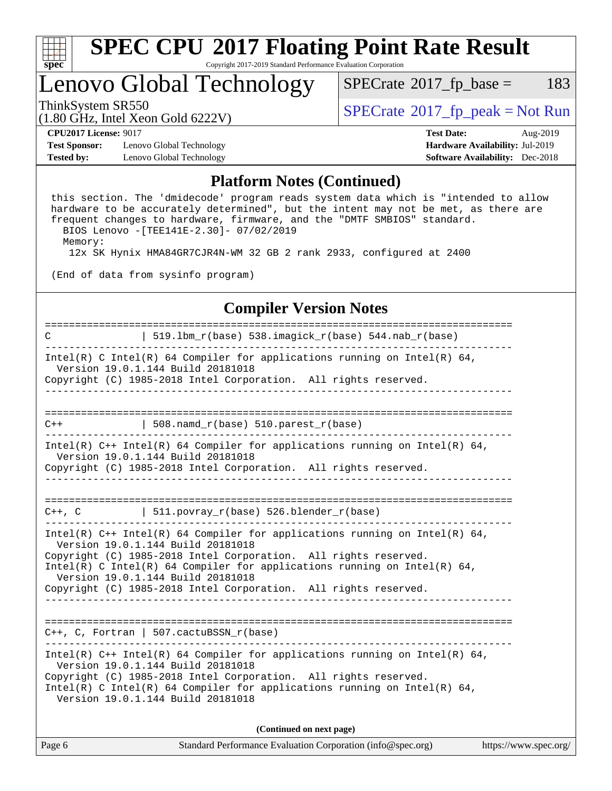

## Lenovo Global Technology

 $SPECTate@2017_fp\_base = 183$ 

(1.80 GHz, Intel Xeon Gold 6222V)

ThinkSystem SR550<br>  $\begin{array}{c}\n\text{SPECTI}_{\text{B}}\text{J} & \text{SPECTI}_{\text{C}}\n\end{array}$  [SPECrate](http://www.spec.org/auto/cpu2017/Docs/result-fields.html#SPECrate2017fppeak)®[2017\\_fp\\_peak = N](http://www.spec.org/auto/cpu2017/Docs/result-fields.html#SPECrate2017fppeak)ot Run

**[Test Sponsor:](http://www.spec.org/auto/cpu2017/Docs/result-fields.html#TestSponsor)** Lenovo Global Technology **[Hardware Availability:](http://www.spec.org/auto/cpu2017/Docs/result-fields.html#HardwareAvailability)** Jul-2019 **[Tested by:](http://www.spec.org/auto/cpu2017/Docs/result-fields.html#Testedby)** Lenovo Global Technology **[Software Availability:](http://www.spec.org/auto/cpu2017/Docs/result-fields.html#SoftwareAvailability)** Dec-2018

**[CPU2017 License:](http://www.spec.org/auto/cpu2017/Docs/result-fields.html#CPU2017License)** 9017 **[Test Date:](http://www.spec.org/auto/cpu2017/Docs/result-fields.html#TestDate)** Aug-2019

#### **[Platform Notes \(Continued\)](http://www.spec.org/auto/cpu2017/Docs/result-fields.html#PlatformNotes)**

 this section. The 'dmidecode' program reads system data which is "intended to allow hardware to be accurately determined", but the intent may not be met, as there are frequent changes to hardware, firmware, and the "DMTF SMBIOS" standard. BIOS Lenovo -[TEE141E-2.30]- 07/02/2019

Memory:

12x SK Hynix HMA84GR7CJR4N-WM 32 GB 2 rank 2933, configured at 2400

(End of data from sysinfo program)

#### **[Compiler Version Notes](http://www.spec.org/auto/cpu2017/Docs/result-fields.html#CompilerVersionNotes)**

============================================================================== C | 519.lbm\_r(base) 538.imagick\_r(base) 544.nab\_r(base) ------------------------------------------------------------------------------ Intel(R) C Intel(R) 64 Compiler for applications running on Intel(R) 64, Version 19.0.1.144 Build 20181018 Copyright (C) 1985-2018 Intel Corporation. All rights reserved. ------------------------------------------------------------------------------ ==============================================================================  $C++$  | 508.namd\_r(base) 510.parest\_r(base) ------------------------------------------------------------------------------ Intel(R) C++ Intel(R) 64 Compiler for applications running on Intel(R) 64, Version 19.0.1.144 Build 20181018 Copyright (C) 1985-2018 Intel Corporation. All rights reserved. ------------------------------------------------------------------------------ ==============================================================================  $C++$ , C  $| 511.povray_r(base) 526.blender_r(base)$ ------------------------------------------------------------------------------ Intel(R) C++ Intel(R) 64 Compiler for applications running on Intel(R) 64, Version 19.0.1.144 Build 20181018 Copyright (C) 1985-2018 Intel Corporation. All rights reserved. Intel(R) C Intel(R) 64 Compiler for applications running on Intel(R)  $64$ , Version 19.0.1.144 Build 20181018 Copyright (C) 1985-2018 Intel Corporation. All rights reserved. ------------------------------------------------------------------------------ ============================================================================== C++, C, Fortran | 507.cactuBSSN\_r(base) ------------------------------------------------------------------------------ Intel(R) C++ Intel(R) 64 Compiler for applications running on Intel(R)  $64$ , Version 19.0.1.144 Build 20181018 Copyright (C) 1985-2018 Intel Corporation. All rights reserved. Intel(R) C Intel(R) 64 Compiler for applications running on Intel(R)  $64$ , Version 19.0.1.144 Build 20181018 **(Continued on next page)**

Page 6 Standard Performance Evaluation Corporation [\(info@spec.org\)](mailto:info@spec.org) <https://www.spec.org/>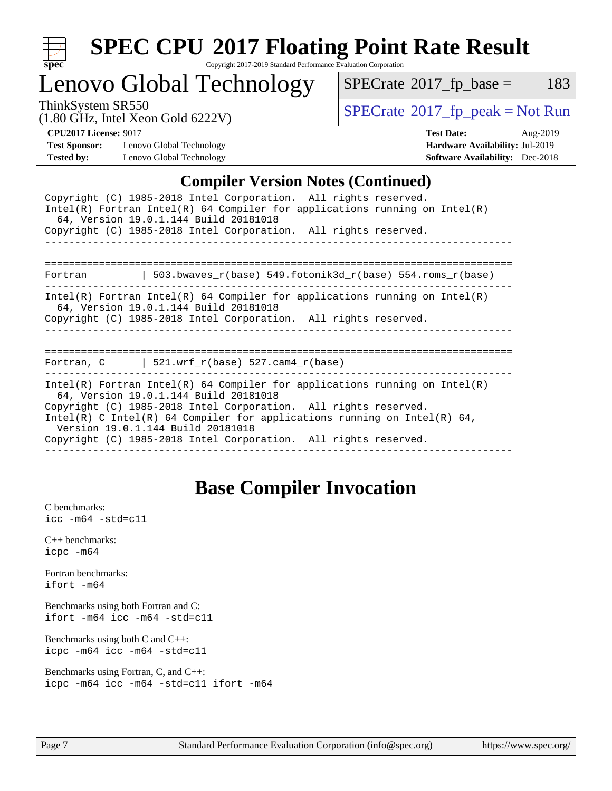

# **[SPEC CPU](http://www.spec.org/auto/cpu2017/Docs/result-fields.html#SPECCPU2017FloatingPointRateResult)[2017 Floating Point Rate Result](http://www.spec.org/auto/cpu2017/Docs/result-fields.html#SPECCPU2017FloatingPointRateResult)**

Copyright 2017-2019 Standard Performance Evaluation Corporation

Lenovo Global Technology

 $SPECTate@2017_fp\_base = 183$ 

(1.80 GHz, Intel Xeon Gold 6222V)

ThinkSystem SR550<br>(1.80 GHz, Intel Year Gold 6222V) [SPECrate](http://www.spec.org/auto/cpu2017/Docs/result-fields.html#SPECrate2017fppeak)®[2017\\_fp\\_peak = N](http://www.spec.org/auto/cpu2017/Docs/result-fields.html#SPECrate2017fppeak)ot Run

**[Test Sponsor:](http://www.spec.org/auto/cpu2017/Docs/result-fields.html#TestSponsor)** Lenovo Global Technology **[Hardware Availability:](http://www.spec.org/auto/cpu2017/Docs/result-fields.html#HardwareAvailability)** Jul-2019 **[Tested by:](http://www.spec.org/auto/cpu2017/Docs/result-fields.html#Testedby)** Lenovo Global Technology **[Software Availability:](http://www.spec.org/auto/cpu2017/Docs/result-fields.html#SoftwareAvailability)** Dec-2018

**[CPU2017 License:](http://www.spec.org/auto/cpu2017/Docs/result-fields.html#CPU2017License)** 9017 **[Test Date:](http://www.spec.org/auto/cpu2017/Docs/result-fields.html#TestDate)** Aug-2019

#### **[Compiler Version Notes \(Continued\)](http://www.spec.org/auto/cpu2017/Docs/result-fields.html#CompilerVersionNotes)**

| <u>011</u> P1101 + 01 D1011 1 + 0000 + 001101110                                                                                                                                                                                                                                                                                                                           |  |  |  |  |  |  |
|----------------------------------------------------------------------------------------------------------------------------------------------------------------------------------------------------------------------------------------------------------------------------------------------------------------------------------------------------------------------------|--|--|--|--|--|--|
| Copyright (C) 1985-2018 Intel Corporation. All rights reserved.<br>$Intel(R)$ Fortran Intel(R) 64 Compiler for applications running on Intel(R)<br>64, Version 19.0.1.144 Build 20181018                                                                                                                                                                                   |  |  |  |  |  |  |
| Copyright (C) 1985-2018 Intel Corporation. All rights reserved.                                                                                                                                                                                                                                                                                                            |  |  |  |  |  |  |
| ____________________________________                                                                                                                                                                                                                                                                                                                                       |  |  |  |  |  |  |
| 503.bwaves $r(base)$ 549.fotonik3d $r(base)$ 554.roms $r(base)$<br>Fortran                                                                                                                                                                                                                                                                                                 |  |  |  |  |  |  |
| Intel(R) Fortran Intel(R) 64 Compiler for applications running on Intel(R)<br>64, Version 19.0.1.144 Build 20181018<br>Copyright (C) 1985-2018 Intel Corporation. All rights reserved.                                                                                                                                                                                     |  |  |  |  |  |  |
| Fortran, C $\vert$ 521.wrf_r(base) 527.cam4_r(base)                                                                                                                                                                                                                                                                                                                        |  |  |  |  |  |  |
| Intel(R) Fortran Intel(R) 64 Compiler for applications running on Intel(R)<br>64, Version 19.0.1.144 Build 20181018<br>Copyright (C) 1985-2018 Intel Corporation. All rights reserved.<br>Intel(R) C Intel(R) 64 Compiler for applications running on Intel(R) 64,<br>Version 19.0.1.144 Build 20181018<br>Copyright (C) 1985-2018 Intel Corporation. All rights reserved. |  |  |  |  |  |  |
|                                                                                                                                                                                                                                                                                                                                                                            |  |  |  |  |  |  |

### **[Base Compiler Invocation](http://www.spec.org/auto/cpu2017/Docs/result-fields.html#BaseCompilerInvocation)**

[C benchmarks](http://www.spec.org/auto/cpu2017/Docs/result-fields.html#Cbenchmarks): [icc -m64 -std=c11](http://www.spec.org/cpu2017/results/res2019q3/cpu2017-20190819-17160.flags.html#user_CCbase_intel_icc_64bit_c11_33ee0cdaae7deeeab2a9725423ba97205ce30f63b9926c2519791662299b76a0318f32ddfffdc46587804de3178b4f9328c46fa7c2b0cd779d7a61945c91cd35)

[C++ benchmarks:](http://www.spec.org/auto/cpu2017/Docs/result-fields.html#CXXbenchmarks) [icpc -m64](http://www.spec.org/cpu2017/results/res2019q3/cpu2017-20190819-17160.flags.html#user_CXXbase_intel_icpc_64bit_4ecb2543ae3f1412ef961e0650ca070fec7b7afdcd6ed48761b84423119d1bf6bdf5cad15b44d48e7256388bc77273b966e5eb805aefd121eb22e9299b2ec9d9)

[Fortran benchmarks](http://www.spec.org/auto/cpu2017/Docs/result-fields.html#Fortranbenchmarks): [ifort -m64](http://www.spec.org/cpu2017/results/res2019q3/cpu2017-20190819-17160.flags.html#user_FCbase_intel_ifort_64bit_24f2bb282fbaeffd6157abe4f878425411749daecae9a33200eee2bee2fe76f3b89351d69a8130dd5949958ce389cf37ff59a95e7a40d588e8d3a57e0c3fd751)

[Benchmarks using both Fortran and C](http://www.spec.org/auto/cpu2017/Docs/result-fields.html#BenchmarksusingbothFortranandC): [ifort -m64](http://www.spec.org/cpu2017/results/res2019q3/cpu2017-20190819-17160.flags.html#user_CC_FCbase_intel_ifort_64bit_24f2bb282fbaeffd6157abe4f878425411749daecae9a33200eee2bee2fe76f3b89351d69a8130dd5949958ce389cf37ff59a95e7a40d588e8d3a57e0c3fd751) [icc -m64 -std=c11](http://www.spec.org/cpu2017/results/res2019q3/cpu2017-20190819-17160.flags.html#user_CC_FCbase_intel_icc_64bit_c11_33ee0cdaae7deeeab2a9725423ba97205ce30f63b9926c2519791662299b76a0318f32ddfffdc46587804de3178b4f9328c46fa7c2b0cd779d7a61945c91cd35)

[Benchmarks using both C and C++](http://www.spec.org/auto/cpu2017/Docs/result-fields.html#BenchmarksusingbothCandCXX): [icpc -m64](http://www.spec.org/cpu2017/results/res2019q3/cpu2017-20190819-17160.flags.html#user_CC_CXXbase_intel_icpc_64bit_4ecb2543ae3f1412ef961e0650ca070fec7b7afdcd6ed48761b84423119d1bf6bdf5cad15b44d48e7256388bc77273b966e5eb805aefd121eb22e9299b2ec9d9) [icc -m64 -std=c11](http://www.spec.org/cpu2017/results/res2019q3/cpu2017-20190819-17160.flags.html#user_CC_CXXbase_intel_icc_64bit_c11_33ee0cdaae7deeeab2a9725423ba97205ce30f63b9926c2519791662299b76a0318f32ddfffdc46587804de3178b4f9328c46fa7c2b0cd779d7a61945c91cd35)

[Benchmarks using Fortran, C, and C++:](http://www.spec.org/auto/cpu2017/Docs/result-fields.html#BenchmarksusingFortranCandCXX) [icpc -m64](http://www.spec.org/cpu2017/results/res2019q3/cpu2017-20190819-17160.flags.html#user_CC_CXX_FCbase_intel_icpc_64bit_4ecb2543ae3f1412ef961e0650ca070fec7b7afdcd6ed48761b84423119d1bf6bdf5cad15b44d48e7256388bc77273b966e5eb805aefd121eb22e9299b2ec9d9) [icc -m64 -std=c11](http://www.spec.org/cpu2017/results/res2019q3/cpu2017-20190819-17160.flags.html#user_CC_CXX_FCbase_intel_icc_64bit_c11_33ee0cdaae7deeeab2a9725423ba97205ce30f63b9926c2519791662299b76a0318f32ddfffdc46587804de3178b4f9328c46fa7c2b0cd779d7a61945c91cd35) [ifort -m64](http://www.spec.org/cpu2017/results/res2019q3/cpu2017-20190819-17160.flags.html#user_CC_CXX_FCbase_intel_ifort_64bit_24f2bb282fbaeffd6157abe4f878425411749daecae9a33200eee2bee2fe76f3b89351d69a8130dd5949958ce389cf37ff59a95e7a40d588e8d3a57e0c3fd751)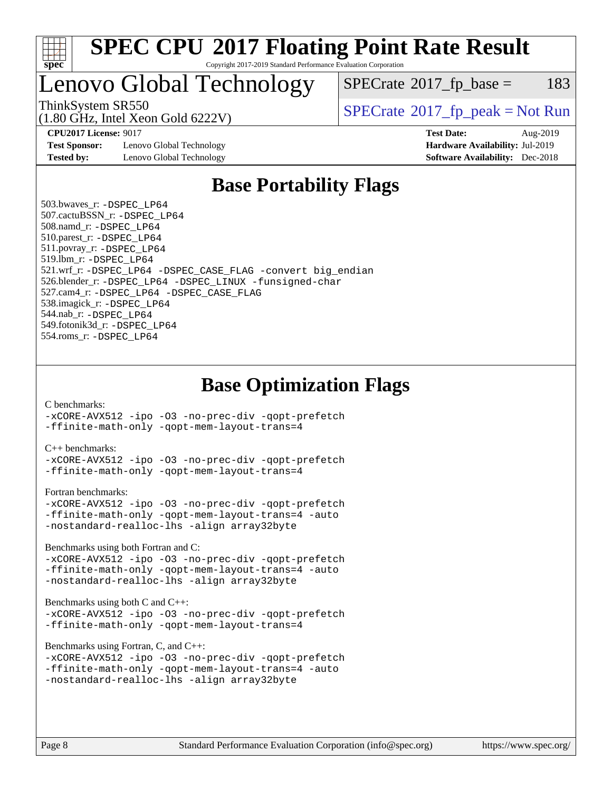

### Lenovo Global Technology

 $SPECTate@2017_fp\_base = 183$ 

(1.80 GHz, Intel Xeon Gold 6222V)

ThinkSystem SR550<br>  $\begin{array}{c}\n\text{SPECrate} \textcirc 2017 \text{ fp } peak = Not Run\n\end{array}$  $\begin{array}{c}\n\text{SPECrate} \textcirc 2017 \text{ fp } peak = Not Run\n\end{array}$  $\begin{array}{c}\n\text{SPECrate} \textcirc 2017 \text{ fp } peak = Not Run\n\end{array}$ 

**[Test Sponsor:](http://www.spec.org/auto/cpu2017/Docs/result-fields.html#TestSponsor)** Lenovo Global Technology **[Hardware Availability:](http://www.spec.org/auto/cpu2017/Docs/result-fields.html#HardwareAvailability)** Jul-2019 **[Tested by:](http://www.spec.org/auto/cpu2017/Docs/result-fields.html#Testedby)** Lenovo Global Technology **[Software Availability:](http://www.spec.org/auto/cpu2017/Docs/result-fields.html#SoftwareAvailability)** Dec-2018

**[CPU2017 License:](http://www.spec.org/auto/cpu2017/Docs/result-fields.html#CPU2017License)** 9017 **[Test Date:](http://www.spec.org/auto/cpu2017/Docs/result-fields.html#TestDate)** Aug-2019

### **[Base Portability Flags](http://www.spec.org/auto/cpu2017/Docs/result-fields.html#BasePortabilityFlags)**

 503.bwaves\_r: [-DSPEC\\_LP64](http://www.spec.org/cpu2017/results/res2019q3/cpu2017-20190819-17160.flags.html#suite_basePORTABILITY503_bwaves_r_DSPEC_LP64) 507.cactuBSSN\_r: [-DSPEC\\_LP64](http://www.spec.org/cpu2017/results/res2019q3/cpu2017-20190819-17160.flags.html#suite_basePORTABILITY507_cactuBSSN_r_DSPEC_LP64) 508.namd\_r: [-DSPEC\\_LP64](http://www.spec.org/cpu2017/results/res2019q3/cpu2017-20190819-17160.flags.html#suite_basePORTABILITY508_namd_r_DSPEC_LP64) 510.parest\_r: [-DSPEC\\_LP64](http://www.spec.org/cpu2017/results/res2019q3/cpu2017-20190819-17160.flags.html#suite_basePORTABILITY510_parest_r_DSPEC_LP64) 511.povray\_r: [-DSPEC\\_LP64](http://www.spec.org/cpu2017/results/res2019q3/cpu2017-20190819-17160.flags.html#suite_basePORTABILITY511_povray_r_DSPEC_LP64) 519.lbm\_r: [-DSPEC\\_LP64](http://www.spec.org/cpu2017/results/res2019q3/cpu2017-20190819-17160.flags.html#suite_basePORTABILITY519_lbm_r_DSPEC_LP64) 521.wrf\_r: [-DSPEC\\_LP64](http://www.spec.org/cpu2017/results/res2019q3/cpu2017-20190819-17160.flags.html#suite_basePORTABILITY521_wrf_r_DSPEC_LP64) [-DSPEC\\_CASE\\_FLAG](http://www.spec.org/cpu2017/results/res2019q3/cpu2017-20190819-17160.flags.html#b521.wrf_r_baseCPORTABILITY_DSPEC_CASE_FLAG) [-convert big\\_endian](http://www.spec.org/cpu2017/results/res2019q3/cpu2017-20190819-17160.flags.html#user_baseFPORTABILITY521_wrf_r_convert_big_endian_c3194028bc08c63ac5d04de18c48ce6d347e4e562e8892b8bdbdc0214820426deb8554edfa529a3fb25a586e65a3d812c835984020483e7e73212c4d31a38223) 526.blender\_r: [-DSPEC\\_LP64](http://www.spec.org/cpu2017/results/res2019q3/cpu2017-20190819-17160.flags.html#suite_basePORTABILITY526_blender_r_DSPEC_LP64) [-DSPEC\\_LINUX](http://www.spec.org/cpu2017/results/res2019q3/cpu2017-20190819-17160.flags.html#b526.blender_r_baseCPORTABILITY_DSPEC_LINUX) [-funsigned-char](http://www.spec.org/cpu2017/results/res2019q3/cpu2017-20190819-17160.flags.html#user_baseCPORTABILITY526_blender_r_force_uchar_40c60f00ab013830e2dd6774aeded3ff59883ba5a1fc5fc14077f794d777847726e2a5858cbc7672e36e1b067e7e5c1d9a74f7176df07886a243d7cc18edfe67) 527.cam4\_r: [-DSPEC\\_LP64](http://www.spec.org/cpu2017/results/res2019q3/cpu2017-20190819-17160.flags.html#suite_basePORTABILITY527_cam4_r_DSPEC_LP64) [-DSPEC\\_CASE\\_FLAG](http://www.spec.org/cpu2017/results/res2019q3/cpu2017-20190819-17160.flags.html#b527.cam4_r_baseCPORTABILITY_DSPEC_CASE_FLAG) 538.imagick\_r: [-DSPEC\\_LP64](http://www.spec.org/cpu2017/results/res2019q3/cpu2017-20190819-17160.flags.html#suite_basePORTABILITY538_imagick_r_DSPEC_LP64) 544.nab\_r: [-DSPEC\\_LP64](http://www.spec.org/cpu2017/results/res2019q3/cpu2017-20190819-17160.flags.html#suite_basePORTABILITY544_nab_r_DSPEC_LP64) 549.fotonik3d\_r: [-DSPEC\\_LP64](http://www.spec.org/cpu2017/results/res2019q3/cpu2017-20190819-17160.flags.html#suite_basePORTABILITY549_fotonik3d_r_DSPEC_LP64) 554.roms\_r: [-DSPEC\\_LP64](http://www.spec.org/cpu2017/results/res2019q3/cpu2017-20190819-17160.flags.html#suite_basePORTABILITY554_roms_r_DSPEC_LP64)

### **[Base Optimization Flags](http://www.spec.org/auto/cpu2017/Docs/result-fields.html#BaseOptimizationFlags)**

#### [C benchmarks](http://www.spec.org/auto/cpu2017/Docs/result-fields.html#Cbenchmarks):

[-xCORE-AVX512](http://www.spec.org/cpu2017/results/res2019q3/cpu2017-20190819-17160.flags.html#user_CCbase_f-xCORE-AVX512) [-ipo](http://www.spec.org/cpu2017/results/res2019q3/cpu2017-20190819-17160.flags.html#user_CCbase_f-ipo) [-O3](http://www.spec.org/cpu2017/results/res2019q3/cpu2017-20190819-17160.flags.html#user_CCbase_f-O3) [-no-prec-div](http://www.spec.org/cpu2017/results/res2019q3/cpu2017-20190819-17160.flags.html#user_CCbase_f-no-prec-div) [-qopt-prefetch](http://www.spec.org/cpu2017/results/res2019q3/cpu2017-20190819-17160.flags.html#user_CCbase_f-qopt-prefetch) [-ffinite-math-only](http://www.spec.org/cpu2017/results/res2019q3/cpu2017-20190819-17160.flags.html#user_CCbase_f_finite_math_only_cb91587bd2077682c4b38af759c288ed7c732db004271a9512da14a4f8007909a5f1427ecbf1a0fb78ff2a814402c6114ac565ca162485bbcae155b5e4258871) [-qopt-mem-layout-trans=4](http://www.spec.org/cpu2017/results/res2019q3/cpu2017-20190819-17160.flags.html#user_CCbase_f-qopt-mem-layout-trans_fa39e755916c150a61361b7846f310bcdf6f04e385ef281cadf3647acec3f0ae266d1a1d22d972a7087a248fd4e6ca390a3634700869573d231a252c784941a8)

#### [C++ benchmarks:](http://www.spec.org/auto/cpu2017/Docs/result-fields.html#CXXbenchmarks)

[-xCORE-AVX512](http://www.spec.org/cpu2017/results/res2019q3/cpu2017-20190819-17160.flags.html#user_CXXbase_f-xCORE-AVX512) [-ipo](http://www.spec.org/cpu2017/results/res2019q3/cpu2017-20190819-17160.flags.html#user_CXXbase_f-ipo) [-O3](http://www.spec.org/cpu2017/results/res2019q3/cpu2017-20190819-17160.flags.html#user_CXXbase_f-O3) [-no-prec-div](http://www.spec.org/cpu2017/results/res2019q3/cpu2017-20190819-17160.flags.html#user_CXXbase_f-no-prec-div) [-qopt-prefetch](http://www.spec.org/cpu2017/results/res2019q3/cpu2017-20190819-17160.flags.html#user_CXXbase_f-qopt-prefetch) [-ffinite-math-only](http://www.spec.org/cpu2017/results/res2019q3/cpu2017-20190819-17160.flags.html#user_CXXbase_f_finite_math_only_cb91587bd2077682c4b38af759c288ed7c732db004271a9512da14a4f8007909a5f1427ecbf1a0fb78ff2a814402c6114ac565ca162485bbcae155b5e4258871) [-qopt-mem-layout-trans=4](http://www.spec.org/cpu2017/results/res2019q3/cpu2017-20190819-17160.flags.html#user_CXXbase_f-qopt-mem-layout-trans_fa39e755916c150a61361b7846f310bcdf6f04e385ef281cadf3647acec3f0ae266d1a1d22d972a7087a248fd4e6ca390a3634700869573d231a252c784941a8)

#### [Fortran benchmarks](http://www.spec.org/auto/cpu2017/Docs/result-fields.html#Fortranbenchmarks):

```
-xCORE-AVX512 -ipo -O3 -no-prec-div -qopt-prefetch
-ffinite-math-only -qopt-mem-layout-trans=4 -auto
-nostandard-realloc-lhs -align array32byte
```
[Benchmarks using both Fortran and C](http://www.spec.org/auto/cpu2017/Docs/result-fields.html#BenchmarksusingbothFortranandC):

```
-xCORE-AVX512 -ipo -O3 -no-prec-div -qopt-prefetch
-ffinite-math-only -qopt-mem-layout-trans=4 -auto
-nostandard-realloc-lhs -align array32byte
```
#### [Benchmarks using both C and C++](http://www.spec.org/auto/cpu2017/Docs/result-fields.html#BenchmarksusingbothCandCXX):

```
-xCORE-AVX512 -ipo -O3 -no-prec-div -qopt-prefetch
-ffinite-math-only -qopt-mem-layout-trans=4
```
[Benchmarks using Fortran, C, and C++:](http://www.spec.org/auto/cpu2017/Docs/result-fields.html#BenchmarksusingFortranCandCXX)

```
-xCORE-AVX512 -ipo -O3 -no-prec-div -qopt-prefetch
-ffinite-math-only -qopt-mem-layout-trans=4 -auto
-nostandard-realloc-lhs -align array32byte
```